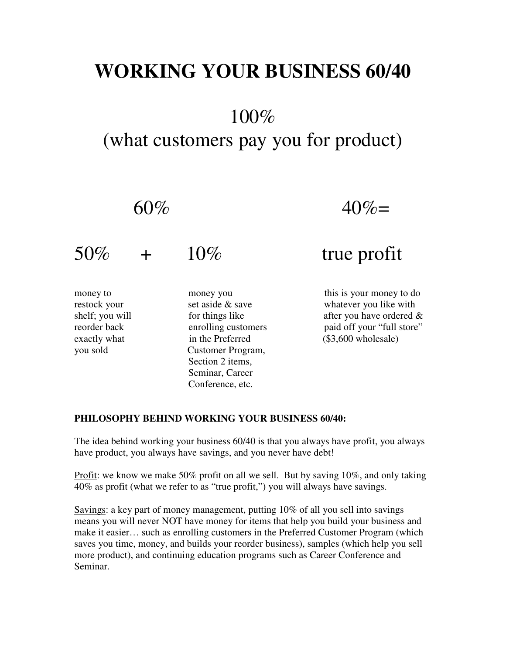## **WORKING YOUR BUSINESS 60/40**

## 100%

## (what customers pay you for product)

 $60\% = 40\% =$ 

 $50\%$  +  $10\%$  true profit money to money you this is your money to do restock your set aside & save whatever you like with shelf; you will for things like after you have ordered  $\&$ reorder back enrolling customers paid off your "full store" exactly what in the Preferred (\$3,600 wholesale) you sold Customer Program, Section 2 items,

## **PHILOSOPHY BEHIND WORKING YOUR BUSINESS 60/40:**

Seminar, Career Conference, etc.

The idea behind working your business 60/40 is that you always have profit, you always have product, you always have savings, and you never have debt!

Profit: we know we make 50% profit on all we sell. But by saving 10%, and only taking 40% as profit (what we refer to as "true profit,") you will always have savings.

Savings: a key part of money management, putting 10% of all you sell into savings means you will never NOT have money for items that help you build your business and make it easier… such as enrolling customers in the Preferred Customer Program (which saves you time, money, and builds your reorder business), samples (which help you sell more product), and continuing education programs such as Career Conference and Seminar.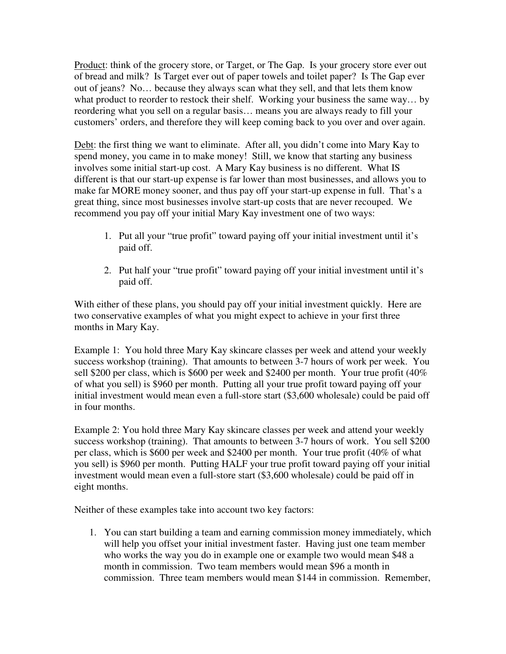Product: think of the grocery store, or Target, or The Gap. Is your grocery store ever out of bread and milk? Is Target ever out of paper towels and toilet paper? Is The Gap ever out of jeans? No… because they always scan what they sell, and that lets them know what product to reorder to restock their shelf. Working your business the same way… by reordering what you sell on a regular basis… means you are always ready to fill your customers' orders, and therefore they will keep coming back to you over and over again.

Debt: the first thing we want to eliminate. After all, you didn't come into Mary Kay to spend money, you came in to make money! Still, we know that starting any business involves some initial start-up cost. A Mary Kay business is no different. What IS different is that our start-up expense is far lower than most businesses, and allows you to make far MORE money sooner, and thus pay off your start-up expense in full. That's a great thing, since most businesses involve start-up costs that are never recouped. We recommend you pay off your initial Mary Kay investment one of two ways:

- 1. Put all your "true profit" toward paying off your initial investment until it's paid off.
- 2. Put half your "true profit" toward paying off your initial investment until it's paid off.

With either of these plans, you should pay off your initial investment quickly. Here are two conservative examples of what you might expect to achieve in your first three months in Mary Kay.

Example 1: You hold three Mary Kay skincare classes per week and attend your weekly success workshop (training). That amounts to between 3-7 hours of work per week. You sell \$200 per class, which is \$600 per week and \$2400 per month. Your true profit (40% of what you sell) is \$960 per month. Putting all your true profit toward paying off your initial investment would mean even a full-store start (\$3,600 wholesale) could be paid off in four months.

Example 2: You hold three Mary Kay skincare classes per week and attend your weekly success workshop (training). That amounts to between 3-7 hours of work. You sell \$200 per class, which is \$600 per week and \$2400 per month. Your true profit (40% of what you sell) is \$960 per month. Putting HALF your true profit toward paying off your initial investment would mean even a full-store start (\$3,600 wholesale) could be paid off in eight months.

Neither of these examples take into account two key factors:

1. You can start building a team and earning commission money immediately, which will help you offset your initial investment faster. Having just one team member who works the way you do in example one or example two would mean \$48 a month in commission. Two team members would mean \$96 a month in commission. Three team members would mean \$144 in commission. Remember,